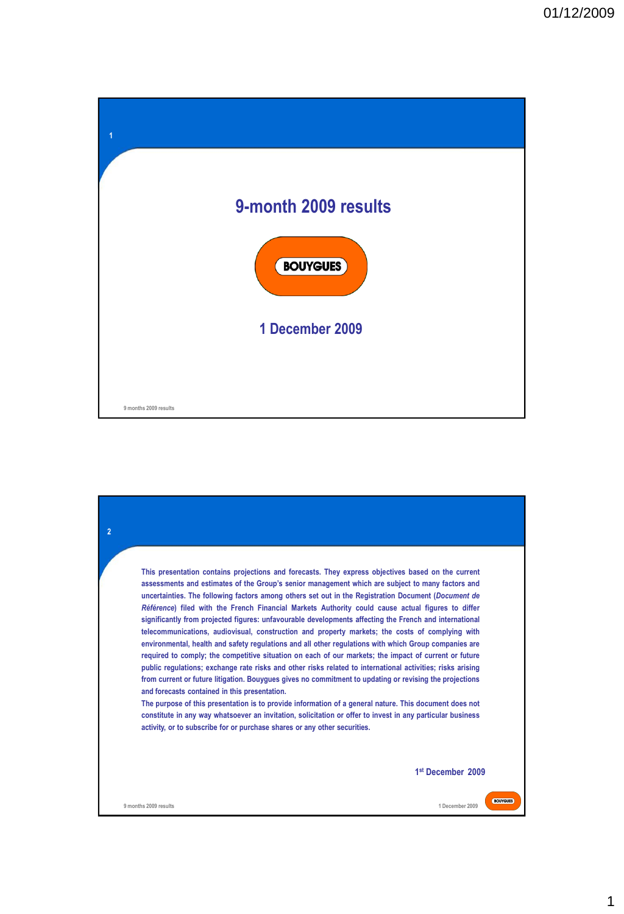

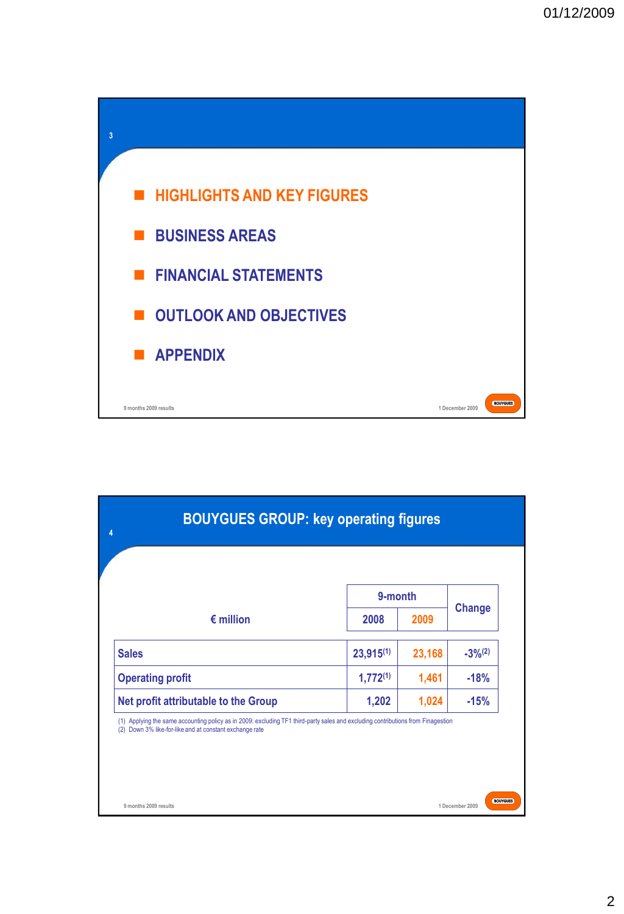

| <b>BOUYGUES GROUP: key operating figures</b><br>4                                                                                                                                           |                |        |                 |  |  |  |  |
|---------------------------------------------------------------------------------------------------------------------------------------------------------------------------------------------|----------------|--------|-----------------|--|--|--|--|
|                                                                                                                                                                                             | 9-month        |        |                 |  |  |  |  |
| $\epsilon$ million                                                                                                                                                                          | 2008           | 2009   | <b>Change</b>   |  |  |  |  |
| <b>Sales</b>                                                                                                                                                                                | $23,915^{(1)}$ | 23,168 | $-3\%^{(2)}$    |  |  |  |  |
| <b>Operating profit</b>                                                                                                                                                                     | $1,772^{(1)}$  | 1,461  | $-18%$          |  |  |  |  |
| Net profit attributable to the Group                                                                                                                                                        | 1,202          | 1,024  | $-15%$          |  |  |  |  |
| (1) Applying the same accounting policy as in 2009: excluding TF1 third-party sales and excluding contributions from Finagestion<br>(2) Down 3% like-for-like and at constant exchange rate |                |        |                 |  |  |  |  |
| 9 months 2009 results                                                                                                                                                                       |                |        | 1 December 2009 |  |  |  |  |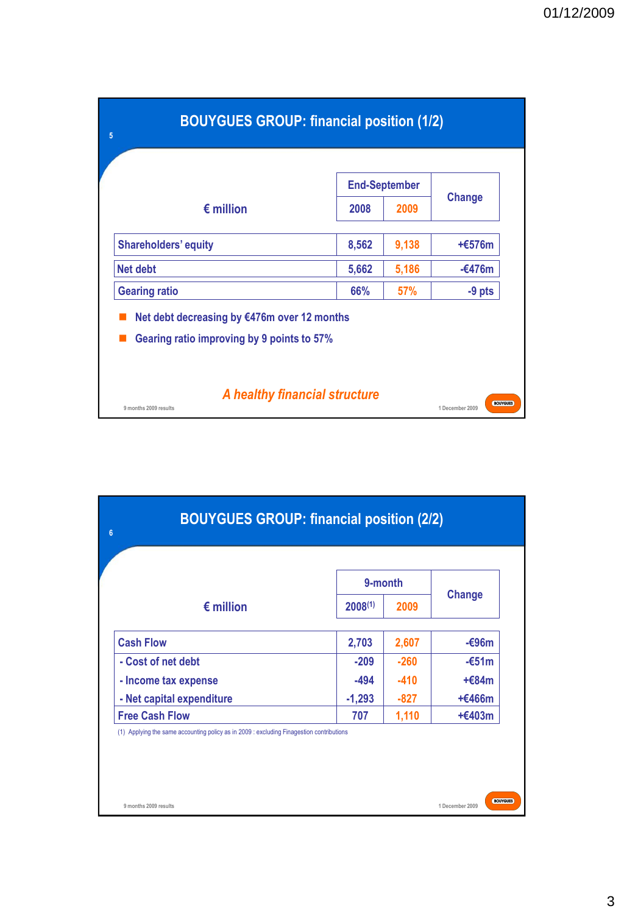| <b>BOUYGUES GROUP: financial position (1/2)</b><br>5                                         |       |                      |          |  |  |  |  |
|----------------------------------------------------------------------------------------------|-------|----------------------|----------|--|--|--|--|
|                                                                                              |       | <b>End-September</b> |          |  |  |  |  |
| $\epsilon$ million                                                                           | 2008  | 2009                 | Change   |  |  |  |  |
| <b>Shareholders' equity</b>                                                                  | 8,562 | 9,138                | $+£576m$ |  |  |  |  |
| <b>Net debt</b>                                                                              | 5,662 | 5,186                | $-6476m$ |  |  |  |  |
| <b>Gearing ratio</b>                                                                         | 66%   | <b>57%</b>           | $-9$ pts |  |  |  |  |
| Net debt decreasing by €476m over 12 months<br>Gearing ratio improving by 9 points to 57%    |       |                      |          |  |  |  |  |
| A healthy financial structure<br><b>BOUYGUES</b><br>9 months 2009 results<br>1 December 2009 |       |                      |          |  |  |  |  |

|                           | 9-month      |        |               |
|---------------------------|--------------|--------|---------------|
| $\epsilon$ million        | $2008^{(1)}$ | 2009   | <b>Change</b> |
| <b>Cash Flow</b>          | 2,703        | 2,607  | $-696m$       |
| - Cost of net debt        | $-209$       | $-260$ | $-651m$       |
| - Income tax expense      | -494         | $-410$ | $+684m$       |
| - Net capital expenditure | $-1,293$     | $-827$ | $+£466m$      |
| <b>Free Cash Flow</b>     | 707          | 1,110  | $+£403m$      |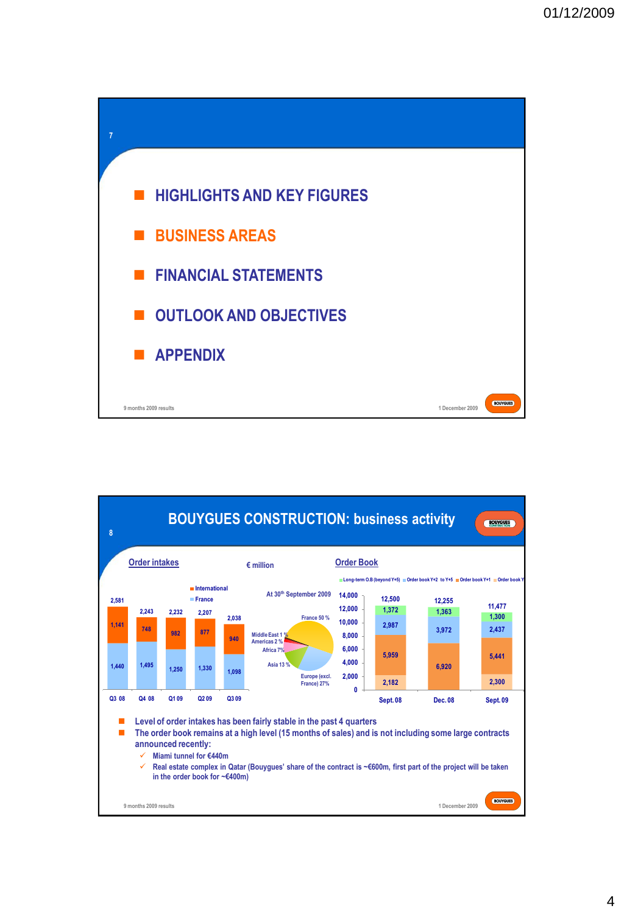

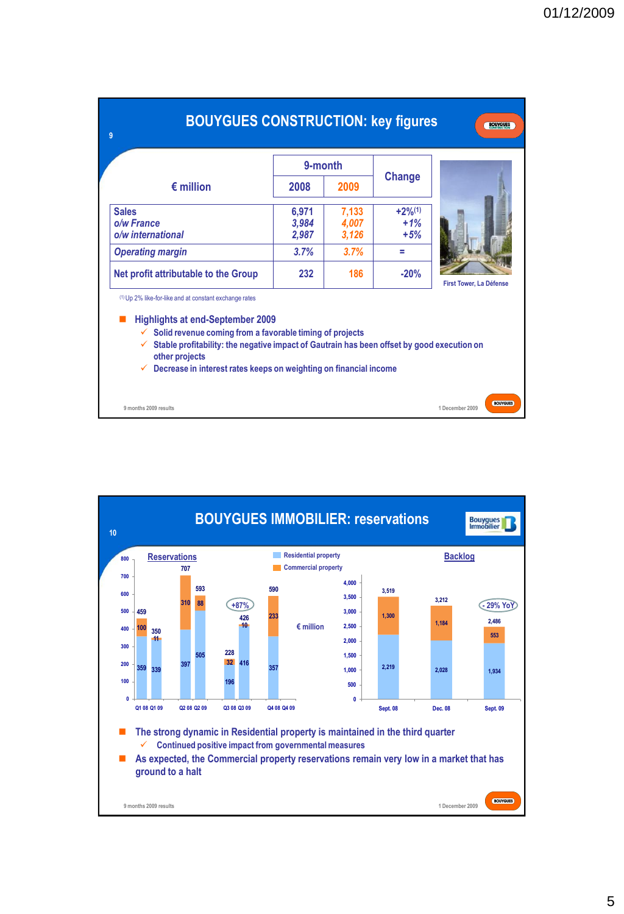| <b>BOUYGUES CONSTRUCTION: key figures</b><br><b>BOUYGUES</b><br>9                                                                                                                                                                                                                                                                                                                                                    |                                                                                                                         |         |      |        |                                    |  |  |  |
|----------------------------------------------------------------------------------------------------------------------------------------------------------------------------------------------------------------------------------------------------------------------------------------------------------------------------------------------------------------------------------------------------------------------|-------------------------------------------------------------------------------------------------------------------------|---------|------|--------|------------------------------------|--|--|--|
|                                                                                                                                                                                                                                                                                                                                                                                                                      |                                                                                                                         | 9-month |      |        |                                    |  |  |  |
|                                                                                                                                                                                                                                                                                                                                                                                                                      | $\epsilon$ million                                                                                                      | 2008    | 2009 | Change |                                    |  |  |  |
| <b>Sales</b>                                                                                                                                                                                                                                                                                                                                                                                                         | $+2\%^{(1)}$<br>7,133<br>6,971<br>o/w France<br>$+1%$<br>3,984<br>4,007<br>o/w international<br>2,987<br>3,126<br>$+5%$ |         |      |        |                                    |  |  |  |
|                                                                                                                                                                                                                                                                                                                                                                                                                      | 3.7%<br>3.7%<br><b>Operating margin</b><br>۰.                                                                           |         |      |        |                                    |  |  |  |
|                                                                                                                                                                                                                                                                                                                                                                                                                      | Net profit attributable to the Group                                                                                    | 232     | 186  | $-20%$ |                                    |  |  |  |
| <b>First Tower, La Défense</b><br><sup>(1)</sup> Up 2% like-for-like and at constant exchange rates<br><b>Highlights at end-September 2009</b><br>Solid revenue coming from a favorable timing of projects<br>✓<br>Stable profitability: the negative impact of Gautrain has been offset by good execution on<br>$\checkmark$<br>other projects<br>Decrease in interest rates keeps on weighting on financial income |                                                                                                                         |         |      |        |                                    |  |  |  |
|                                                                                                                                                                                                                                                                                                                                                                                                                      | 9 months 2009 results                                                                                                   |         |      |        | <b>BOUYGUES</b><br>1 December 2009 |  |  |  |

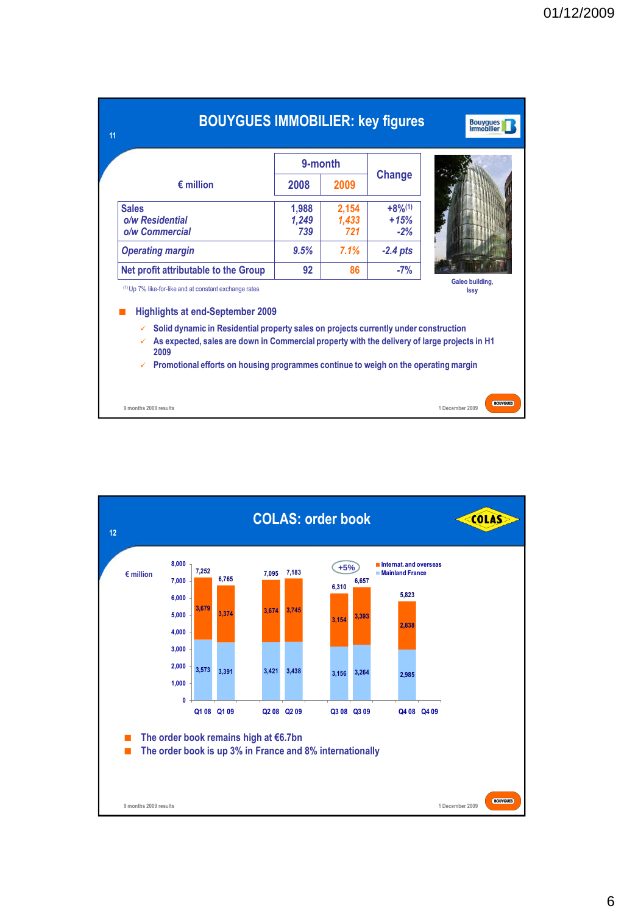|                                                                                                                                                                                           | 9-month               |                       |                                         |  |  |  |
|-------------------------------------------------------------------------------------------------------------------------------------------------------------------------------------------|-----------------------|-----------------------|-----------------------------------------|--|--|--|
| $\epsilon$ million                                                                                                                                                                        | 2008                  | 2009                  | <b>Change</b>                           |  |  |  |
| <b>Sales</b><br>o/w Residential<br>o/w Commercial                                                                                                                                         | 1.988<br>1,249<br>739 | 2,154<br>1,433<br>721 | $+8%$ <sup>(1)</sup><br>$+15%$<br>$-2%$ |  |  |  |
| <b>Operating margin</b>                                                                                                                                                                   | 9.5%                  | 7.1%                  | $-2.4$ pts                              |  |  |  |
| Net profit attributable to the Group                                                                                                                                                      | 92                    | 86                    | $-7%$                                   |  |  |  |
| Galeo building.<br><sup>(1)</sup> Up 7% like-for-like and at constant exchange rates<br><b>Issy</b><br><b>Highlights at end-September 2009</b>                                            |                       |                       |                                         |  |  |  |
| Solid dynamic in Residential property sales on projects currently under construction<br>As expected, sales are down in Commercial property with the delivery of large projects in H1<br>✓ |                       |                       |                                         |  |  |  |

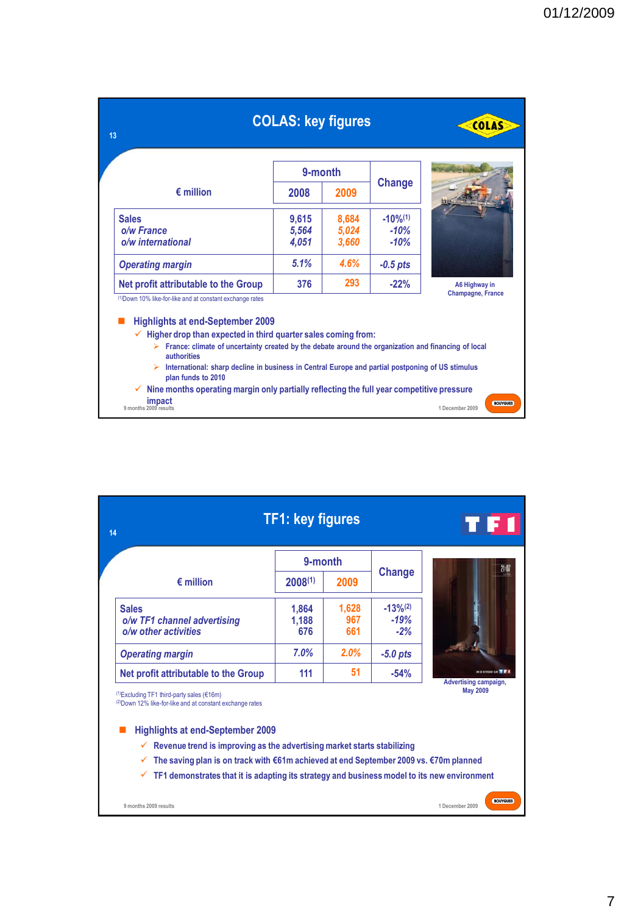| 13                                                                                                                                                                                                                                                                                                                                                                                                                                                                                                                                                           | <b>COLAS: key figures</b> |                         |                                            | <b>COLAS</b>                              |
|--------------------------------------------------------------------------------------------------------------------------------------------------------------------------------------------------------------------------------------------------------------------------------------------------------------------------------------------------------------------------------------------------------------------------------------------------------------------------------------------------------------------------------------------------------------|---------------------------|-------------------------|--------------------------------------------|-------------------------------------------|
|                                                                                                                                                                                                                                                                                                                                                                                                                                                                                                                                                              | 9-month                   |                         |                                            |                                           |
| $\epsilon$ million                                                                                                                                                                                                                                                                                                                                                                                                                                                                                                                                           | 2008                      | 2009                    | Change                                     |                                           |
| <b>Sales</b><br>o/w France<br>o/w international                                                                                                                                                                                                                                                                                                                                                                                                                                                                                                              | 9,615<br>5,564<br>4,051   | 8,684<br>5,024<br>3.660 | $-10\%$ <sup>(1)</sup><br>$-10%$<br>$-10%$ |                                           |
| <b>Operating margin</b>                                                                                                                                                                                                                                                                                                                                                                                                                                                                                                                                      | 5.1%                      | 4.6%                    | $-0.5$ pts                                 |                                           |
| Net profit attributable to the Group                                                                                                                                                                                                                                                                                                                                                                                                                                                                                                                         | 376                       | 293                     | $-22%$                                     | A6 Highway in<br><b>Champagne, France</b> |
| (1) Down 10% like-for-like and at constant exchange rates<br><b>Highlights at end-September 2009</b><br>Higher drop than expected in third quarter sales coming from:<br>France: climate of uncertainty created by the debate around the organization and financing of local<br>⋗<br>authorities<br>ighthremational: sharp decline in business in Central Europe and partial postponing of US stimulus<br>plan funds to 2010<br>Nine months operating margin only partially reflecting the full year competitive pressure<br>impact<br>9 months 2009 results |                           |                         |                                            | <b>BOUYGUES</b><br>1 December 2009        |

| 9-month<br>Change<br>$\epsilon$ million<br>$2008^{(1)}$<br>2009<br>$-13%^{(2)}$<br>1,628<br><b>Sales</b><br>1,864<br>$-19%$<br>967<br>o/w TF1 channel advertising<br>1,188<br>o/w other activities<br>676<br>661<br>$-2%$<br>7.0%<br>2.0%<br><b>Operating margin</b><br>$-5.0$ pts<br>51<br>111<br>$-54%$<br>Net profit attributable to the Group<br>Advertising campaign,<br><b>May 2009</b><br>$^{(1)}$ Excluding TF1 third-party sales (€16m)<br>(2) Down 12% like-for-like and at constant exchange rates<br><b>Highlights at end-September 2009</b> | 14 | <b>TF1: key figures</b> |  |                        |
|----------------------------------------------------------------------------------------------------------------------------------------------------------------------------------------------------------------------------------------------------------------------------------------------------------------------------------------------------------------------------------------------------------------------------------------------------------------------------------------------------------------------------------------------------------|----|-------------------------|--|------------------------|
|                                                                                                                                                                                                                                                                                                                                                                                                                                                                                                                                                          |    |                         |  | 21:07                  |
|                                                                                                                                                                                                                                                                                                                                                                                                                                                                                                                                                          |    |                         |  |                        |
|                                                                                                                                                                                                                                                                                                                                                                                                                                                                                                                                                          |    |                         |  |                        |
|                                                                                                                                                                                                                                                                                                                                                                                                                                                                                                                                                          |    |                         |  |                        |
|                                                                                                                                                                                                                                                                                                                                                                                                                                                                                                                                                          |    |                         |  | ON SE RETROUVE SAN THE |
| Revenue trend is improving as the advertising market starts stabilizing<br>✓<br>The saving plan is on track with €61m achieved at end September 2009 vs. €70m planned<br>✓<br>TF1 demonstrates that it is adapting its strategy and business model to its new environment<br>✓                                                                                                                                                                                                                                                                           |    |                         |  |                        |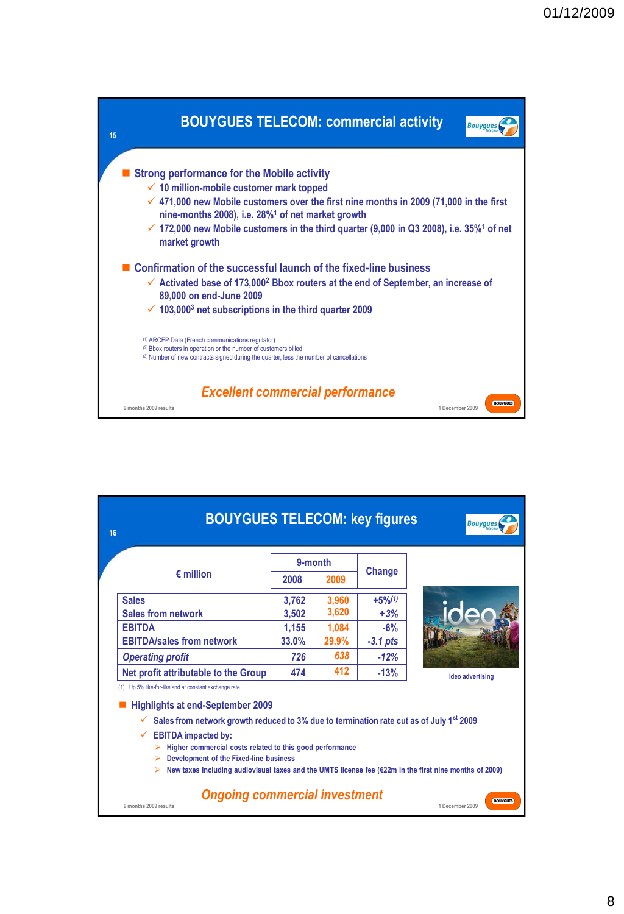

| 16 | <b>BOUYGUES TELECOM: key figures</b>                                                                                                                                                                    |                 |                |                               | <b>Bouvques</b>                    |  |  |  |
|----|---------------------------------------------------------------------------------------------------------------------------------------------------------------------------------------------------------|-----------------|----------------|-------------------------------|------------------------------------|--|--|--|
|    | $\epsilon$ million                                                                                                                                                                                      | 9-month<br>2008 | 2009           | Change                        |                                    |  |  |  |
|    | <b>Sales</b><br><b>Sales from network</b>                                                                                                                                                               | 3,762<br>3,502  | 3.960<br>3,620 | $+5%$ <sup>(1)</sup><br>$+3%$ |                                    |  |  |  |
|    | <b>EBITDA</b><br>1,155<br>1,084<br>$-6%$<br><b>EBITDA/sales from network</b><br><b>33.0%</b><br>$-3.1$ pts<br>29.9%                                                                                     |                 |                |                               |                                    |  |  |  |
|    | <b>Operating profit</b><br>Net profit attributable to the Group                                                                                                                                         | 726<br>474      | 638<br>412     | $-12%$<br>$-13%$              |                                    |  |  |  |
|    | <b>Ideo advertising</b><br>(1) Up 5% like-for-like and at constant exchange rate<br><b>Highlights at end-September 2009</b>                                                                             |                 |                |                               |                                    |  |  |  |
|    | Sales from network growth reduced to 3% due to termination rate cut as of July 1 <sup>st</sup> 2009<br>✓<br><b>EBITDA</b> impacted by:<br>✓<br>Higher commercial costs related to this good performance |                 |                |                               |                                    |  |  |  |
|    | <b>Development of the Fixed-line business</b><br>New taxes including audiovisual taxes and the UMTS license fee $(\epsilon 22m$ in the first nine months of 2009)                                       |                 |                |                               |                                    |  |  |  |
|    | <b>Ongoing commercial investment</b><br>9 months 2009 results                                                                                                                                           |                 |                |                               | <b>BOUYGUES</b><br>1 December 2009 |  |  |  |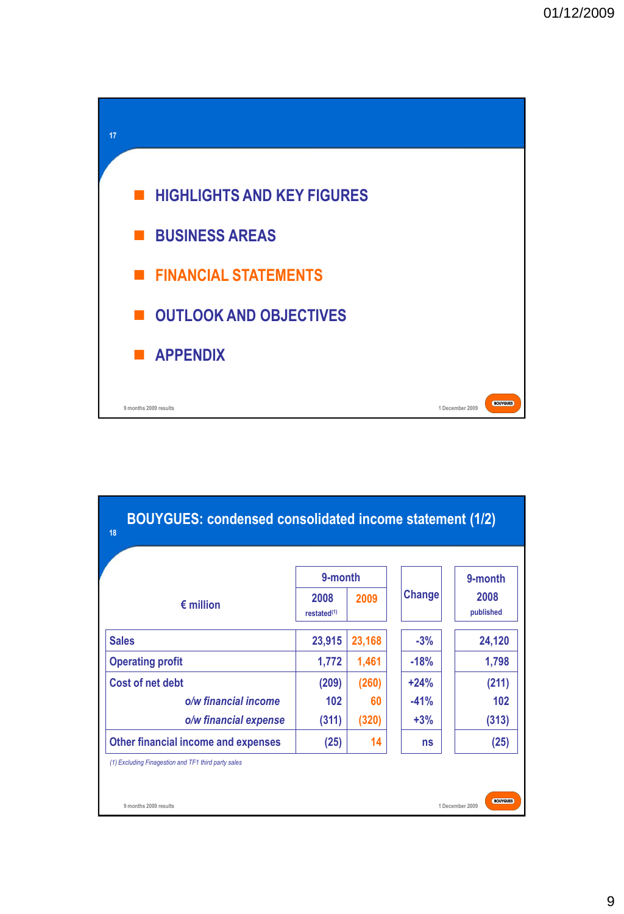

| <b>BOUYGUES: condensed consolidated income statement (1/2)</b><br>18 |                                            |        |               |                              |  |  |  |
|----------------------------------------------------------------------|--------------------------------------------|--------|---------------|------------------------------|--|--|--|
| $\epsilon$ million                                                   | 9-month<br>2008<br>restated <sup>(1)</sup> | 2009   | <b>Change</b> | 9-month<br>2008<br>published |  |  |  |
| <b>Sales</b>                                                         | 23,915                                     | 23,168 | $-3%$         | 24,120                       |  |  |  |
| <b>Operating profit</b>                                              | 1,772                                      | 1,461  | $-18%$        | 1,798                        |  |  |  |
| Cost of net debt                                                     | (209)                                      | (260)  | $+24%$        | (211)                        |  |  |  |
| o/w financial income                                                 | 102                                        | 60     | $-41%$        | 102                          |  |  |  |
| o/w financial expense                                                | (311)                                      | (320)  | $+3%$         | (313)                        |  |  |  |
| Other financial income and expenses                                  | (25)                                       | 14     | ns            | (25)                         |  |  |  |
| (1) Excluding Finagestion and TF1 third party sales                  |                                            |        |               |                              |  |  |  |
| <b>BOUYGUES</b><br>9 months 2009 results<br>1 December 2009          |                                            |        |               |                              |  |  |  |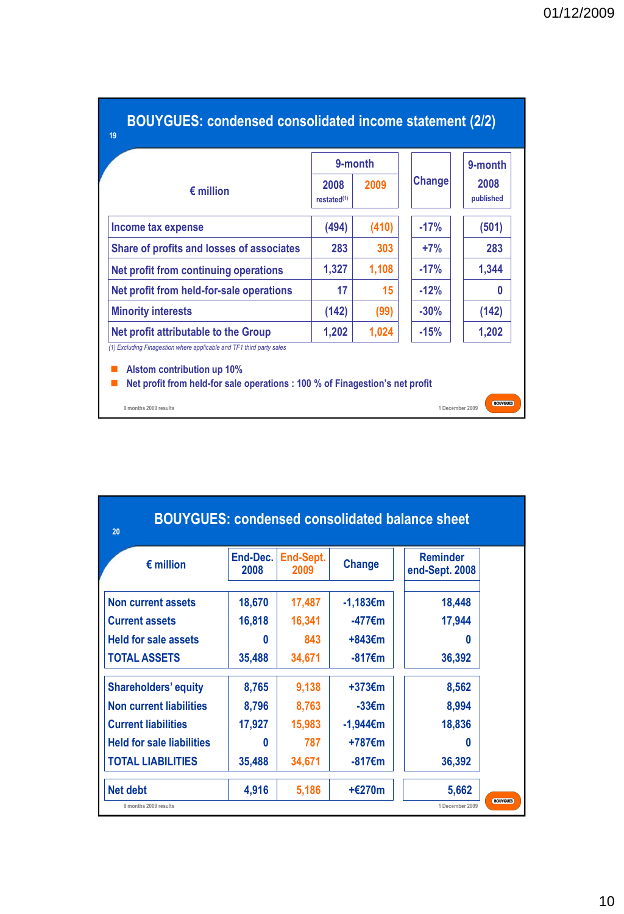|                                           | 9-month                         |       |        | 9-month           |
|-------------------------------------------|---------------------------------|-------|--------|-------------------|
| $\epsilon$ million                        | 2008<br>restated <sup>(1)</sup> | 2009  | Change | 2008<br>published |
| Income tax expense                        | (494)                           | (410) | $-17%$ | (501)             |
| Share of profits and losses of associates | 283                             | 303   | $+7%$  | 283               |
| Net profit from continuing operations     | 1,327                           | 1.108 | $-17%$ | 1,344             |
| Net profit from held-for-sale operations  | 17                              | 15    | $-12%$ | 0                 |
| <b>Minority interests</b>                 | (142)                           | (99)  | $-30%$ | (142)             |
| Net profit attributable to the Group      | 1,202                           | 1,024 | $-15%$ | 1,202             |

| <b>BOUYGUES: condensed consolidated balance sheet</b><br>20 |                  |                   |                   |                                    |  |  |  |
|-------------------------------------------------------------|------------------|-------------------|-------------------|------------------------------------|--|--|--|
| $\epsilon$ million                                          | End-Dec.<br>2008 | End-Sept.<br>2009 | <b>Change</b>     | <b>Reminder</b><br>end-Sept. 2008  |  |  |  |
| Non current assets                                          | 18.670           | 17,487            | -1,183€m          | 18,448                             |  |  |  |
| <b>Current assets</b>                                       | 16,818           | 16,341            | -477€m            | 17,944                             |  |  |  |
| <b>Held for sale assets</b>                                 | n                | 843               | +843€m            | 0                                  |  |  |  |
| <b>TOTAL ASSETS</b>                                         | 35,488           | 34,671            | -817€m            | 36,392                             |  |  |  |
| <b>Shareholders' equity</b>                                 | 8,765            | 9,138             | $+373 \epsilon$ m | 8,562                              |  |  |  |
| <b>Non current liabilities</b>                              | 8,796            | 8,763             | $-33 \epsilon$ m  | 8,994                              |  |  |  |
| <b>Current liabilities</b>                                  | 17,927           | 15,983            | -1,944€m          | 18,836                             |  |  |  |
| <b>Held for sale liabilities</b>                            | 0                | 787               | +787€m            | 0                                  |  |  |  |
| <b>TOTAL LIABILITIES</b>                                    | 35,488           | 34,671            | -817€m            | 36,392                             |  |  |  |
| <b>Net debt</b>                                             | 4,916            | 5,186             | $+£270m$          | 5,662                              |  |  |  |
| 9 months 2009 results                                       |                  |                   |                   | <b>BOUYGUES</b><br>1 December 2009 |  |  |  |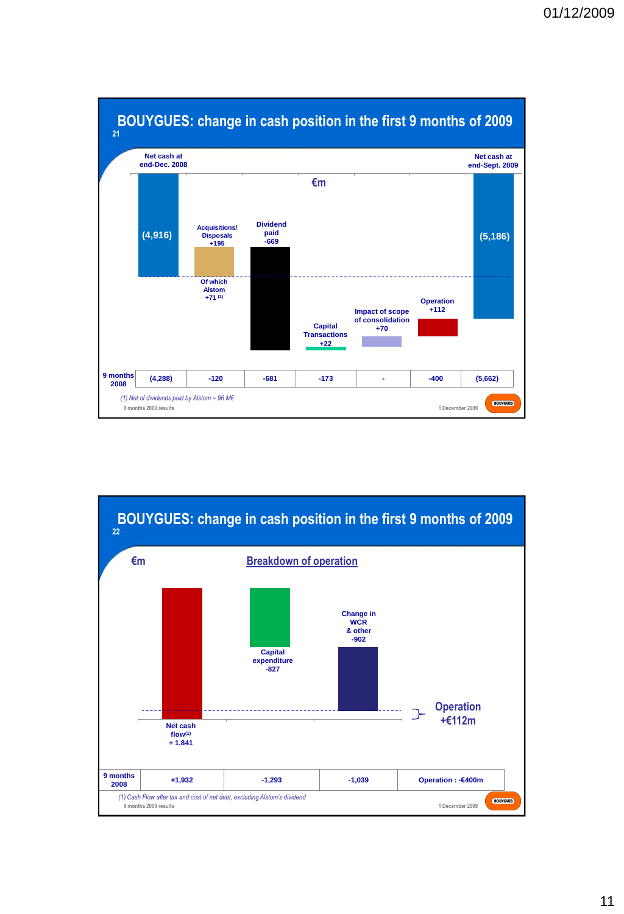

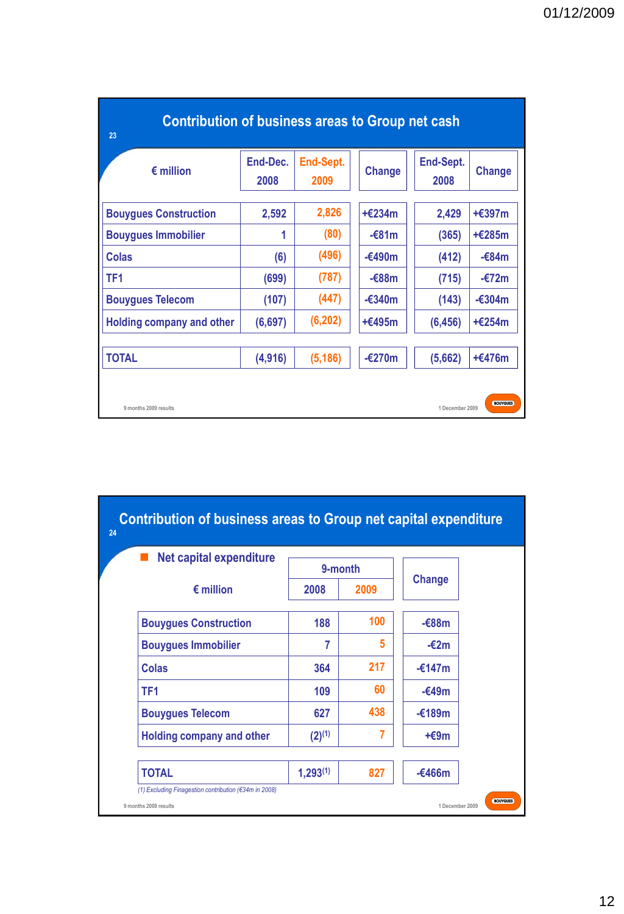| <b>Contribution of business areas to Group net cash</b><br>23 |                  |                   |                  |                   |                  |
|---------------------------------------------------------------|------------------|-------------------|------------------|-------------------|------------------|
| $\epsilon$ million                                            | End-Dec.<br>2008 | End-Sept.<br>2009 | <b>Change</b>    | End-Sept.<br>2008 | <b>Change</b>    |
| <b>Bouygues Construction</b>                                  | 2,592            | 2,826             | $+£234m$         | 2,429             | $+£397m$         |
| <b>Bouygues Immobilier</b>                                    | 1                | (80)              | $-681m$          | (365)             | $+£285m$         |
| Colas                                                         | (6)              | (496)             | $-£490m$         | (412)             | $-684m$          |
| TF <sub>1</sub>                                               | (699)            | (787)             | $-688m$          | (715)             | $-\epsilon$ 72m  |
| <b>Bouygues Telecom</b>                                       | (107)            | (447)             | $-\epsilon$ 340m | (143)             | $-\epsilon$ 304m |
| Holding company and other                                     | (6, 697)         | (6, 202)          | $+£495m$         | (6, 456)          | $+£254m$         |
| <b>TOTAL</b>                                                  | (4, 916)         | (5, 186)          | $-\epsilon$ 270m | (5,662)           | $+£476m$         |
| 9 months 2009 results                                         |                  |                   |                  | 1 December 2009   | <b>BOUYGUES</b>  |

| <b>Net capital expenditure</b>   | 9-month       |      |                  |
|----------------------------------|---------------|------|------------------|
| $\epsilon$ million               | 2008          | 2009 | Change           |
| <b>Bouygues Construction</b>     | 188           | 100  | $-688m$          |
| <b>Bouygues Immobilier</b>       | 7             | 5    | $-\epsilon$ 2m   |
| Colas                            | 364           | 217  | $-£147m$         |
| TF <sub>1</sub>                  | 109           | 60   | $-\epsilon$ 49m  |
| <b>Bouygues Telecom</b>          | 627           | 438  | $-\epsilon$ 189m |
| <b>Holding company and other</b> | $(2)^{(1)}$   | 7    | $+€9m$           |
| <b>TOTAL</b>                     | $1,293^{(1)}$ | 827  | $-£466m$         |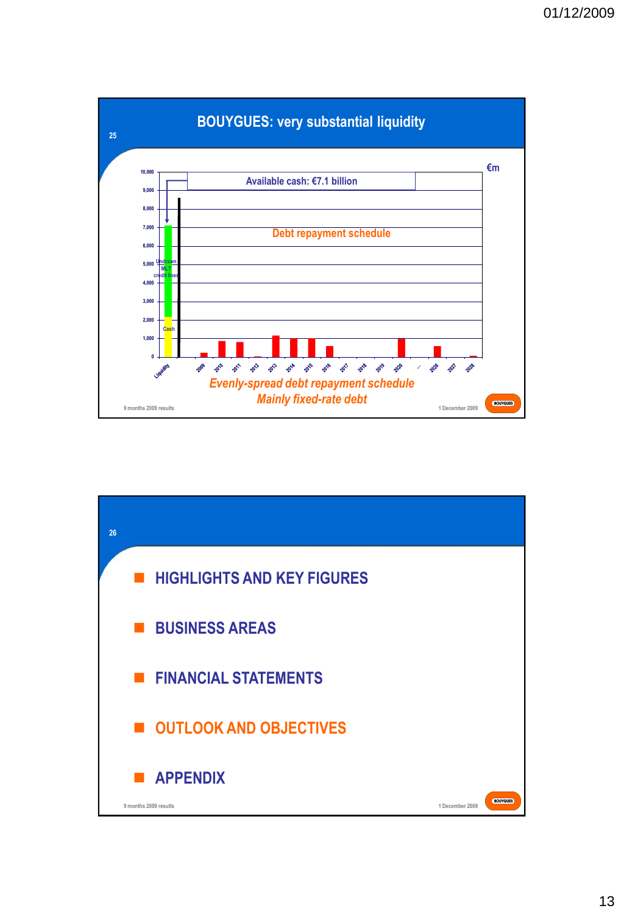

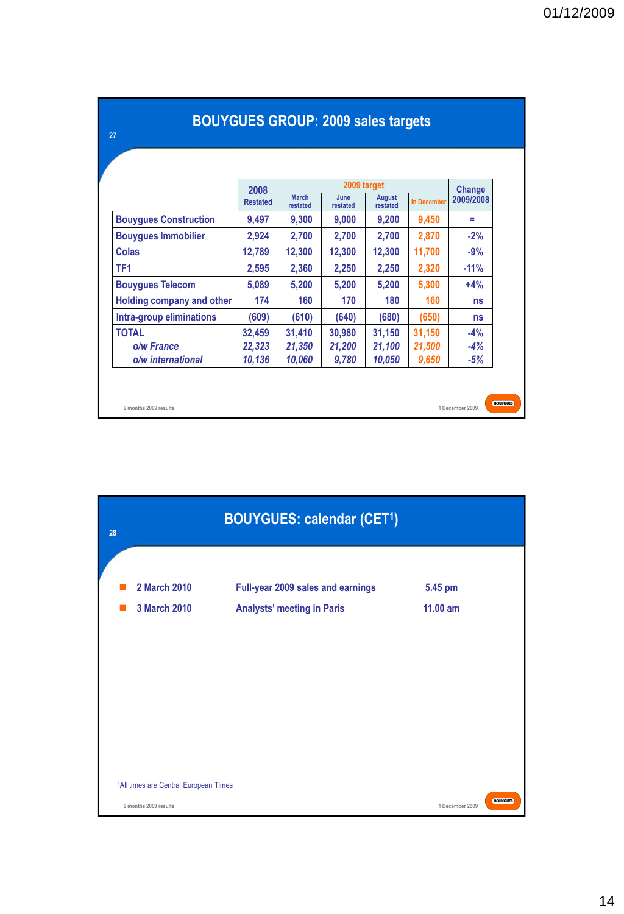|                                  | 2009 target             |                          |                  |                           |             |                     |
|----------------------------------|-------------------------|--------------------------|------------------|---------------------------|-------------|---------------------|
|                                  | 2008<br><b>Restated</b> | <b>March</b><br>restated | June<br>restated | <b>August</b><br>restated | in December | Change<br>2009/2008 |
| <b>Bouygues Construction</b>     | 9,497                   | 9,300                    | 9,000            | 9,200                     | 9,450       | Ξ                   |
| <b>Bouygues Immobilier</b>       | 2,924                   | 2,700                    | 2,700            | 2,700                     | 2,870       | $-2%$               |
| Colas                            | 12,789                  | 12,300                   | 12,300           | 12,300                    | 11,700      | $-9%$               |
| TF <sub>1</sub>                  | 2,595                   | 2,360                    | 2,250            | 2,250                     | 2,320       | $-11%$              |
| <b>Bouygues Telecom</b>          | 5,089                   | 5,200                    | 5,200            | 5,200                     | 5,300       | $+4%$               |
| <b>Holding company and other</b> | 174                     | 160                      | 170              | 180                       | 160         | ns                  |
| Intra-group eliminations         | (609)                   | (610)                    | (640)            | (680)                     | (650)       | ns                  |
| <b>TOTAL</b>                     | 32,459                  | 31,410                   | 30,980           | 31,150                    | 31,150      | $-4%$               |
| o/w France                       | 22,323                  | 21,350                   | 21,200           | 21,100                    | 21,500      | $-4%$               |
| o/w international                | 10,136                  | 10,060                   | 9,780            | 10,050                    | 9,650       | $-5%$               |

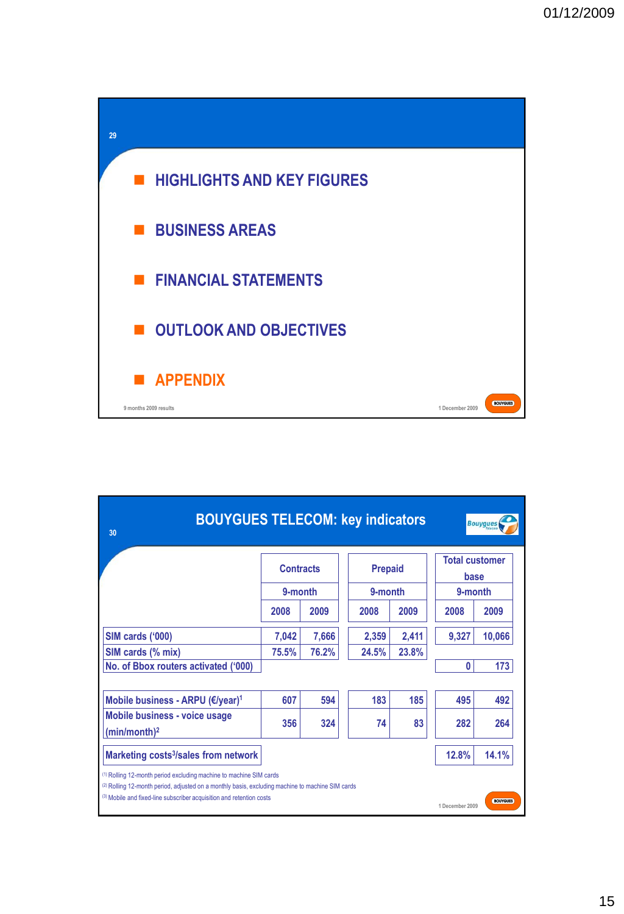

| <b>BOUYGUES TELECOM: key indicators</b><br>30                                                                                                                                                                                                                                                              |                             |                |                           |                |                                          | <b>Bouygues</b> |
|------------------------------------------------------------------------------------------------------------------------------------------------------------------------------------------------------------------------------------------------------------------------------------------------------------|-----------------------------|----------------|---------------------------|----------------|------------------------------------------|-----------------|
|                                                                                                                                                                                                                                                                                                            | <b>Contracts</b><br>9-month |                | <b>Prepaid</b><br>9-month |                | <b>Total customer</b><br>base<br>9-month |                 |
|                                                                                                                                                                                                                                                                                                            | 2008                        | 2009           | 2008                      | 2009           | 2008                                     | 2009            |
| SIM cards ('000)<br>SIM cards (% mix)<br>No. of Bbox routers activated ('000)                                                                                                                                                                                                                              | 7,042<br>75.5%              | 7,666<br>76.2% | 2,359<br>24.5%            | 2,411<br>23.8% | 9,327<br>Λ                               | 10,066<br>173   |
| Mobile business - ARPU (€/year) <sup>1</sup>                                                                                                                                                                                                                                                               | 607                         | 594            | 183                       | 185            | 495                                      | 492             |
| Mobile business - voice usage<br>(min/month) <sup>2</sup>                                                                                                                                                                                                                                                  | 356                         | 324            | 74                        | 83             | 282                                      | 264             |
| Marketing costs <sup>3</sup> /sales from network                                                                                                                                                                                                                                                           |                             |                |                           |                | 12.8%                                    | 14.1%           |
| <sup>(1)</sup> Rolling 12-month period excluding machine to machine SIM cards<br><sup>(2)</sup> Rolling 12-month period, adjusted on a monthly basis, excluding machine to machine SIM cards<br>(3) Mobile and fixed-line subscriber acquisition and retention costs<br><b>BOUYGUES</b><br>1 December 2009 |                             |                |                           |                |                                          |                 |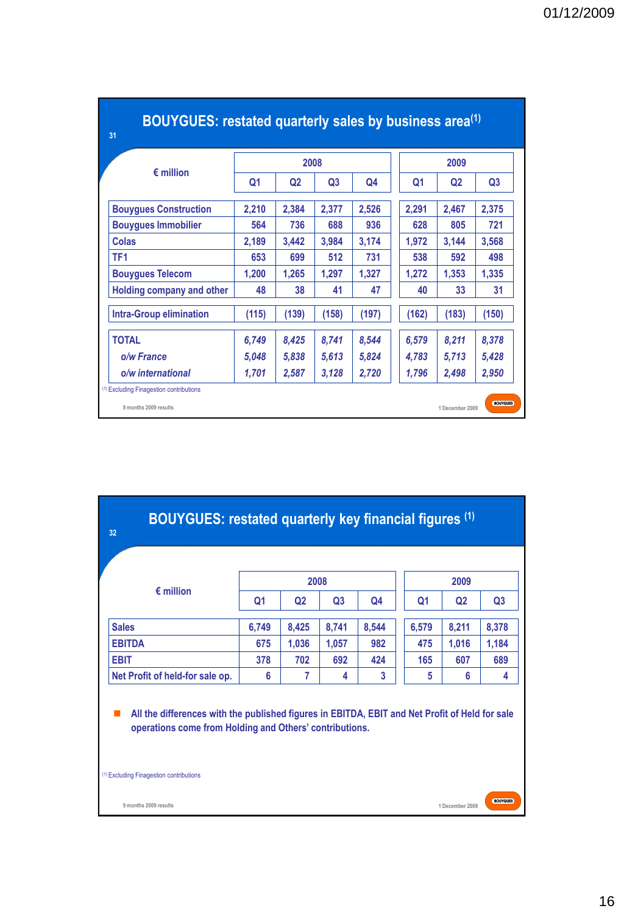|                                |                | 2008           |                | 2009           |                |                |                |
|--------------------------------|----------------|----------------|----------------|----------------|----------------|----------------|----------------|
| $\epsilon$ million             | Q <sub>1</sub> | Q <sub>2</sub> | Q <sub>3</sub> | Q <sub>4</sub> | Q <sub>1</sub> | Q <sub>2</sub> | Q <sub>3</sub> |
| <b>Bouygues Construction</b>   | 2,210          | 2,384          | 2,377          | 2,526          | 2,291          | 2,467          | 2,375          |
| <b>Bouvques Immobilier</b>     | 564            | 736            | 688            | 936            | 628            | 805            | 721            |
| Colas                          | 2,189          | 3,442          | 3,984          | 3,174          | 1,972          | 3,144          | 3,568          |
| TF <sub>1</sub>                | 653            | 699            | 512            | 731            | 538            | 592            | 498            |
| <b>Bouygues Telecom</b>        | 1,200          | 1,265          | 1,297          | 1,327          | 1,272          | 1,353          | 1,335          |
| Holding company and other      | 48             | 38             | 41             | 47             | 40             | 33             | 31             |
| <b>Intra-Group elimination</b> | (115)          | (139)          | (158)          | (197)          | (162)          | (183)          | (150)          |
| <b>TOTAL</b>                   | 6,749          | 8,425          | 8,741          | 8,544          | 6,579          | 8.211          | 8,378          |
| o/w France                     | 5,048          | 5,838          | 5,613          | 5,824          | 4,783          | 5,713          | 5,428          |
| o/w international              | 1,701          | 2,587          | 3,128          | 2,720          | 1,796          | 2,498          | 2,950          |

## **BOUYGUES: restated quarterly sales by business area(1)**

| BOUYGUES: restated quarterly key financial figures (1)<br>32                                                                                              |       |                |                |       |       |                |                |
|-----------------------------------------------------------------------------------------------------------------------------------------------------------|-------|----------------|----------------|-------|-------|----------------|----------------|
| $\epsilon$ million                                                                                                                                        |       |                | 2008           |       |       | 2009           |                |
|                                                                                                                                                           | Q1    | Q <sub>2</sub> | Q <sub>3</sub> | Q4    | Q1    | Q <sub>2</sub> | Q <sub>3</sub> |
| <b>Sales</b>                                                                                                                                              | 6,749 | 8,425          | 8,741          | 8,544 | 6,579 | 8,211          | 8,378          |
| <b>EBITDA</b>                                                                                                                                             | 675   | 1,036          | 1,057          | 982   | 475   | 1,016          | 1,184          |
| <b>EBIT</b>                                                                                                                                               | 378   | 702            | 692            | 424   | 165   | 607            | 689            |
| Net Profit of held-for sale op.                                                                                                                           | 6     | 7              | 4              | 3     | 5     | 6              | 4              |
| All the differences with the published figures in EBITDA, EBIT and Net Profit of Held for sale<br>operations come from Holding and Others' contributions. |       |                |                |       |       |                |                |
| <sup>(1)</sup> Excluding Finagestion contributions<br><b>BOUYGUES</b><br>9 months 2009 results<br>1 December 2009                                         |       |                |                |       |       |                |                |